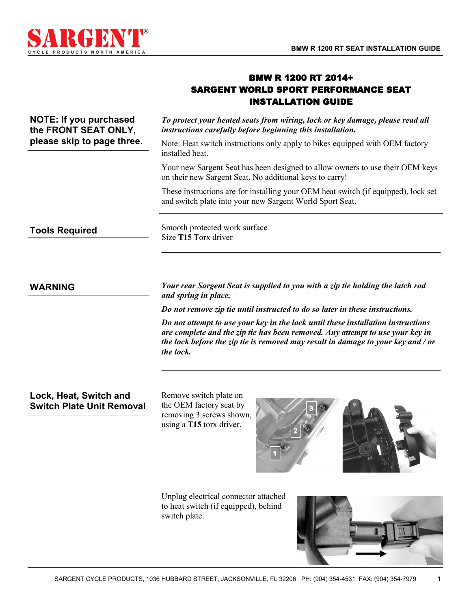

# BMW R 1200 RT 2014+ SARGENT WORLD SPORT PERFORMANCE SEAT INSTALLATION GUIDE

| NOTE: If you purchased<br>the FRONT SEAT ONLY,<br>please skip to page three. | To protect your heated seats from wiring, lock or key damage, please read all<br>instructions carefully before beginning this installation.    |
|------------------------------------------------------------------------------|------------------------------------------------------------------------------------------------------------------------------------------------|
|                                                                              | Note: Heat switch instructions only apply to bikes equipped with OEM factory<br>installed heat.                                                |
|                                                                              | Your new Sargent Seat has been designed to allow owners to use their OEM keys<br>on their new Sargent Seat. No additional keys to carry!       |
|                                                                              | These instructions are for installing your OEM heat switch (if equipped), lock set<br>and switch plate into your new Sargent World Sport Seat. |
| <b>Tools Required</b>                                                        | Smooth protected work surface<br>Size T15 Torx driver                                                                                          |
|                                                                              |                                                                                                                                                |

*Your rear Sargent Seat is supplied to you with a zip tie holding the latch rod and spring in place.* 

*Do not remove zip tie until instructed to do so later in these instructions.*

*Do not attempt to use your key in the lock until these installation instructions are complete and the zip tie has been removed. Any attempt to use your key in the lock before the zip tie is removed may result in damage to your key and / or the lock.* 

# **Lock, Heat, Switch and Switch Plate Unit Removal**

**WARNING**

Remove switch plate on the OEM factory seat by removing 3 screws shown, using a **T15** torx driver.



Unplug electrical connector attached to heat switch (if equipped), behind switch plate.



1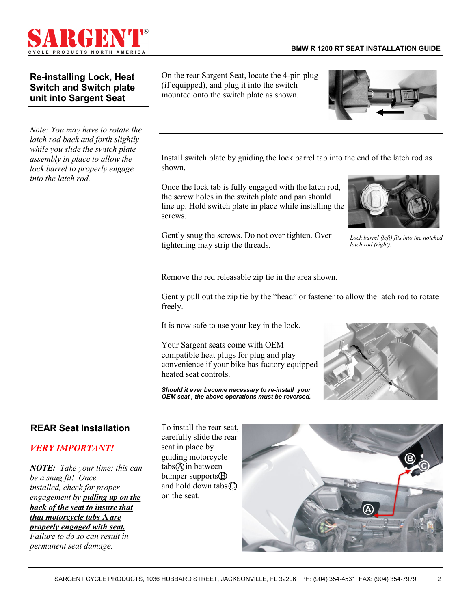

# **Re-installing Lock, Heat Switch and Switch plate unit into Sargent Seat**

*Note: You may have to rotate the latch rod back and forth slightly while you slide the switch plate assembly in place to allow the lock barrel to properly engage into the latch rod.*

On the rear Sargent Seat, locate the 4-pin plug (if equipped), and plug it into the switch mounted onto the switch plate as shown.



Install switch plate by guiding the lock barrel tab into the end of the latch rod as shown.

Once the lock tab is fully engaged with the latch rod, the screw holes in the switch plate and pan should line up. Hold switch plate in place while installing the screws.

Gently snug the screws. Do not over tighten. Over tightening may strip the threads.



*Lock barrel (left) fits into the notched latch rod (right).*

Remove the red releasable zip tie in the area shown.

Gently pull out the zip tie by the "head" or fastener to allow the latch rod to rotate freely.

It is now safe to use your key in the lock.

Your Sargent seats come with OEM compatible heat plugs for plug and play convenience if your bike has factory equipped heated seat controls.

*Should it ever become necessary to re-install your OEM seat , the above operations must be reversed.* 



## **REAR Seat Installation**

#### *VERY IMPORTANT!*

*NOTE: Take your time; this can be a snug fit! Once installed, check for proper engagement by pulling up on the back of the seat to insure that that motorcycle tabs* **A** *are properly engaged with seat.* 

*Failure to do so can result in permanent seat damage.* 

To install the rear seat, carefully slide the rear seat in place by guiding motorcycle tabs (A) in between bumper supports $\circledB$ and hold down tabs $\mathbb{C}$ on the seat.